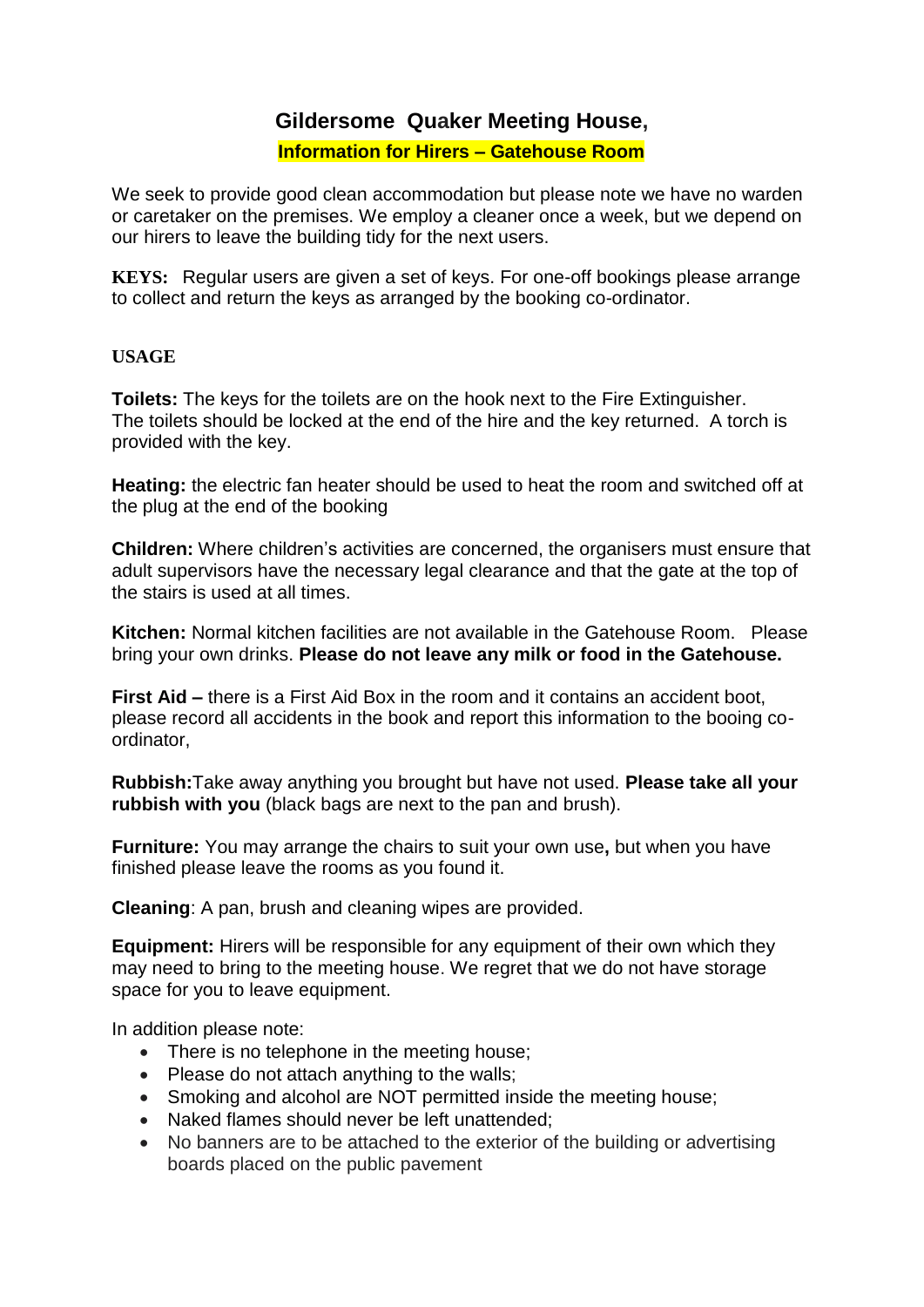## **Gildersome Quaker Meeting House,**

#### **Information for Hirers – Gatehouse Room**

We seek to provide good clean accommodation but please note we have no warden or caretaker on the premises. We employ a cleaner once a week, but we depend on our hirers to leave the building tidy for the next users.

**KEYS:** Regular users are given a set of keys. For one-off bookings please arrange to collect and return the keys as arranged by the booking co-ordinator.

### **USAGE**

**Toilets:** The keys for the toilets are on the hook next to the Fire Extinguisher. The toilets should be locked at the end of the hire and the key returned. A torch is provided with the key.

**Heating:** the electric fan heater should be used to heat the room and switched off at the plug at the end of the booking

**Children:** Where children's activities are concerned, the organisers must ensure that adult supervisors have the necessary legal clearance and that the gate at the top of the stairs is used at all times.

**Kitchen:** Normal kitchen facilities are not available in the Gatehouse Room. Please bring your own drinks. **Please do not leave any milk or food in the Gatehouse.** 

**First Aid –** there is a First Aid Box in the room and it contains an accident boot. please record all accidents in the book and report this information to the booing coordinator,

**Rubbish:**Take away anything you brought but have not used. **Please take all your rubbish with you** (black bags are next to the pan and brush).

**Furniture:** You may arrange the chairs to suit your own use**,** but when you have finished please leave the rooms as you found it.

**Cleaning**: A pan, brush and cleaning wipes are provided.

**Equipment:** Hirers will be responsible for any equipment of their own which they may need to bring to the meeting house. We regret that we do not have storage space for you to leave equipment.

In addition please note:

- There is no telephone in the meeting house;
- $\bullet$  Please do not attach anything to the walls;
- Smoking and alcohol are NOT permitted inside the meeting house;
- Naked flames should never be left unattended:
- No banners are to be attached to the exterior of the building or advertising boards placed on the public pavement